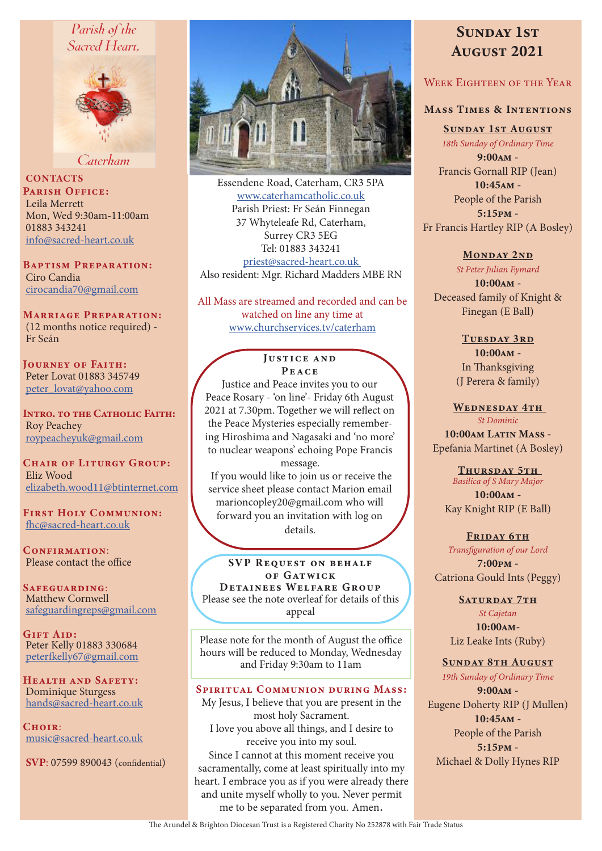# Parish of the Sacred Heart.



Caterham

**CONTACTS** PARISH OFFICE: Leila Merrett Mon, Wed 9:30am-11:00am 01883 343241 info@sacred-heart.co.uk

Baptism Preparation: Ciro Candia cirocandia70@gmail.com

Marriage Preparation: (12 months notice required) - Fr Seán

Journey of Faith: Peter Lovat 01883 345749 peter\_lovat@yahoo.com

Intro. to the Catholic Faith: Roy Peachey roypeacheyuk@gmail.com

CHAIR OF LITURGY GROUP: Eliz Wood elizabeth.wood11@btinternet.com

First Holy Communion: fhc@sacred-heart.co.uk

CONFIRMATION: Please contact the office

Safeguarding: Matthew Cornwell safeguardingreps@gmail.com

GIFT AID: Peter Kelly 01883 330684 peterfkelly67@gmail.com

HEALTH AND SAFETY: Dominique Sturgess hands@sacred-heart.co.uk

 $C$ HOIR $\cdot$ music@sacred-heart.co.uk

SVP: 07599 890043 (confidential)



Essendene Road, Caterham, CR3 5PA www.caterhamcatholic.co.uk Parish Priest: Fr Seán Finnegan 37 Whyteleafe Rd, Caterham, Surrey CR3 5EG Tel: 01883 343241 priest@sacred-heart.co.uk Also resident: Mgr. Richard Madders MBE RN

All Mass are streamed and recorded and can be watched on line any time at www.churchservices.tv/caterham

# **JUSTICE AND** Peace

Justice and Peace invites you to our Peace Rosary - 'on line'- Friday 6th August 2021 at 7.30pm. Together we will reflect on the Peace Mysteries especially remembering Hiroshima and Nagasaki and 'no more' to nuclear weapons' echoing Pope Francis message.

 If you would like to join us or receive the service sheet please contact Marion email marioncopley20@gmail.com who will forward you an invitation with log on details.

SVP REQUEST ON BEHALF of G at w ic k Detainees Welfare Group Please see the note overleaf for details of this appeal

Please note for the month of August the office hours will be reduced to Monday, Wednesday and Friday 9:30am to 11am

# Spiritual Communion during Mass:

My Jesus, I believe that you are present in the most holy Sacrament. I love you above all things, and I desire to receive you into my soul. Since I cannot at this moment receive you sacramentally, come at least spiritually into my heart. I embrace you as if you were already there and unite myself wholly to you. Never permit me to be separated from you. Amen.

# SUNDAY 1ST August 2021

# WEEK EIGHTEEN OF THE YEAR

# Mass Times & Intentions

Sunday 1st August *18th Sunday of Ordinary Time*

9:00am - Francis Gornall RIP (Jean)  $10:45$ <sub>AM</sub> -People of the Parish 5:15pm - Fr Francis Hartley RIP (A Bosley)

# MONDAY 2ND

*St Peter Julian Eymard* 10:00am -

Deceased family of Knight & Finegan (E Ball)

> Tuesday 3rd 10:00am - In Thanksgiving (J Perera & family)

WEDNESDAY 4TH

*St Dominic* 10:00am Latin Mass -Epefania Martinet (A Bosley)

> THURSDAY 5TH *Basilica of S Mary Major* 10:00am - Kay Knight RIP (E Ball)

FRIDAY 6TH *Transfiguration of our Lord* 7:00pm - Catriona Gould Ints (Peggy)

# SATURDAY 7TH

*St Cajetan* 10:00am-Liz Leake Ints (Ruby)

#### Sunday 8th August

*19th Sunday of Ordinary Time* 9:00am - Eugene Doherty RIP (J Mullen) 10:45am - People of the Parish 5:15pm - Michael & Dolly Hynes RIP